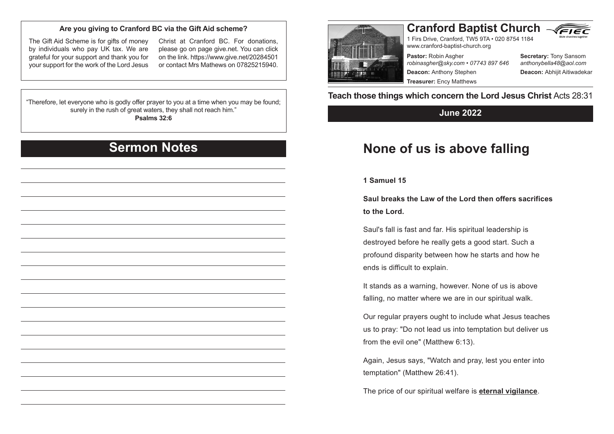### **Are you giving to Cranford BC via the Gift Aid scheme?**

The Gift Aid Scheme is for gifts of money by individuals who pay UK tax. We are grateful for your support and thank you for your support for the work of the Lord Jesus

Christ at Cranford BC. For donations, please go on page give.net. You can click on the link. https://www.give.net/20284501 or contact Mrs Mathews on 07825215940.

#### "Therefore, let everyone who is godly offer prayer to you at a time when you may be found; surely in the rush of great waters, they shall not reach him." **Psalms 32:6**

### **Sermon Notes**

# **Cranford Baptist Church** VEIE

1 Firs Drive, Cranford, TW5 9TA • 020 8754 1184 www.cranford-baptist-church.org

**Pastor:** Robin Asgher *robinasgher@sky.com • 07743 897 646* **Deacon:** Anthony Stephen **Treasurer:** Ency Matthews

**Secretary:** Tony Sansom *anthonybella48@aol.com* **Deacon:** Abhijit Aitiwadekar

**Teach those things which concern the Lord Jesus Christ** Acts 28:31

### **June 2022**

## **None of us is above falling**

#### **1 Samuel 15**

**Saul breaks the Law of the Lord then offers sacrifices to the Lord.**

Saul's fall is fast and far. His spiritual leadership is destroyed before he really gets a good start. Such a profound disparity between how he starts and how he ends is difficult to explain.

It stands as a warning, however. None of us is above falling, no matter where we are in our spiritual walk.

Our regular prayers ought to include what Jesus teaches us to pray: "Do not lead us into temptation but deliver us from the evil one" (Matthew 6:13).

Again, Jesus says, "Watch and pray, lest you enter into temptation" (Matthew 26:41).

The price of our spiritual welfare is **eternal vigilance**.